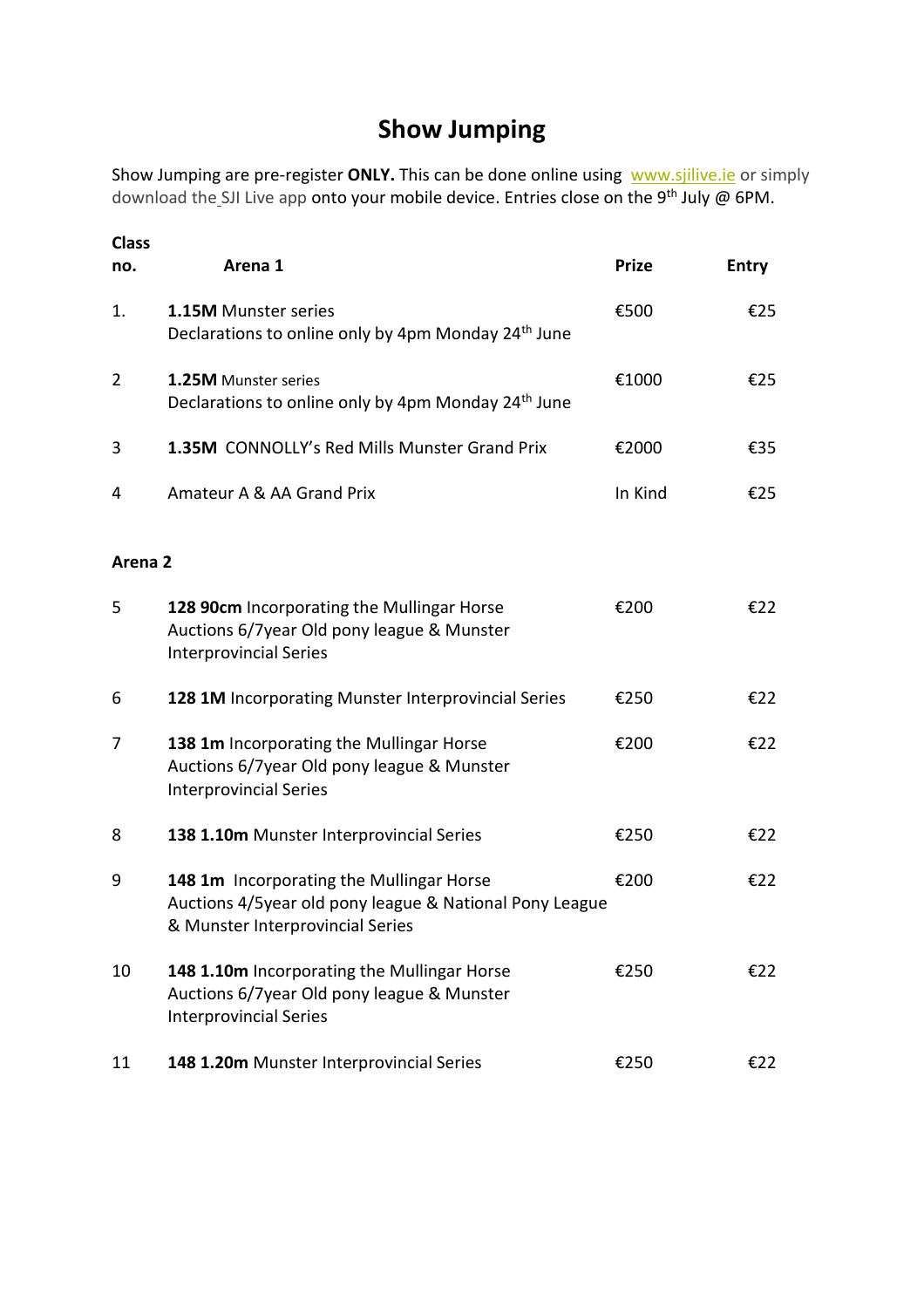## **Show Jumping**

Show Jumping are pre-register ONLY. This can be done online using [www.sjilive.ie](https://www.sjilive.ie/) or simply download the SJI Live app onto your mobile device. Entries close on the 9<sup>th</sup> July @ 6PM.

| <b>Class</b><br>no. | Arena 1                                                                                                                                 | <b>Prize</b> | <b>Entry</b> |
|---------------------|-----------------------------------------------------------------------------------------------------------------------------------------|--------------|--------------|
| 1.                  | <b>1.15M Munster series</b><br>Declarations to online only by 4pm Monday 24 <sup>th</sup> June                                          | €500         | €25          |
| $\overline{2}$      | 1.25M Munster series<br>Declarations to online only by 4pm Monday 24 <sup>th</sup> June                                                 | €1000        | €25          |
| 3                   | 1.35M CONNOLLY's Red Mills Munster Grand Prix                                                                                           | €2000        | €35          |
| 4                   | Amateur A & AA Grand Prix                                                                                                               | In Kind      | €25          |
| Arena <sub>2</sub>  |                                                                                                                                         |              |              |
| 5                   | 128 90cm Incorporating the Mullingar Horse<br>Auctions 6/7 year Old pony league & Munster<br><b>Interprovincial Series</b>              | €200         | €22          |
| 6                   | 128 1M Incorporating Munster Interprovincial Series                                                                                     | €250         | €22          |
| 7                   | 138 1m Incorporating the Mullingar Horse<br>Auctions 6/7 year Old pony league & Munster<br><b>Interprovincial Series</b>                | €200         | €22          |
| 8                   | 138 1.10m Munster Interprovincial Series                                                                                                | €250         | €22          |
| 9                   | 148 1m Incorporating the Mullingar Horse<br>Auctions 4/5year old pony league & National Pony League<br>& Munster Interprovincial Series | €200         | €22          |
| 10                  | 148 1.10m Incorporating the Mullingar Horse<br>Auctions 6/7year Old pony league & Munster<br><b>Interprovincial Series</b>              | €250         | €22          |
| 11                  | 148 1.20m Munster Interprovincial Series                                                                                                | €250         | €22          |